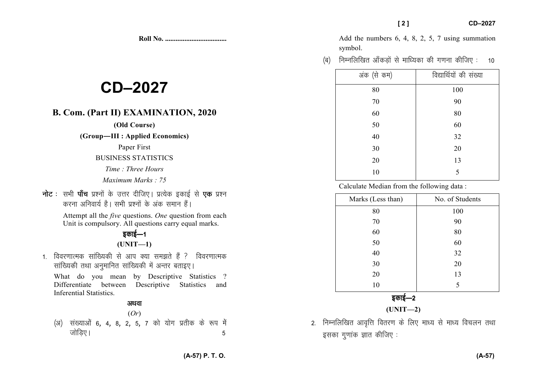**Roll No. ...................................** 

# **CD–2027**

# **B. Com. (Part II) EXAMINATION, 2020**

### **(Old Course)**

**(Group—III : Applied Economics)** 

Paper First

#### BUSINESS STATISTICS

- *Time : Three Hours*
- *Maximum Marks : 75*
- **नोट** : सभी **पाँच** प्रश्नों के उत्तर दीजिए। प्रत्येक इकाई से **एक** प्रश्न *djuk vfuok;Z gSA lHkh iz'uksa d¢ vad leku gSaA*

 Attempt all the *five* questions. *One* question from each Unit is compulsory. All questions carry equal marks.

## *bdkbZ*&*<sup>1</sup>***(UNIT—1)**

1. विवरणात्मक सांख्यिकी से आप क्या समझते हैं ? विवरणात्मक *lkaf[;dh rFkk vuqekfur lkaf[;dh esa vUrj crkb,A* 

What do you mean by Descriptive Statistics ? Differentiate between Descriptive Statistics and Inferential Statistics.

## अथवा

## (*Or*) *¼v½ la[;kvksa 6*] *4*] *8*] *2*] *5*] *7 dks ;ksx izrhd ds :i esa tksfM+,A 5*

Add the numbers 6, 4, 8, 2, 5, 7 using summation symbol.

*¼c½ fuEufyf[kr vk¡dM+ksa ls ekf/;dk dh x.kuk dhft, % 10* 

| अंक (से कम) | विद्यार्थियों की संख्या |
|-------------|-------------------------|
| 80          | 100                     |
| $70\,$      | 90                      |
| 60          | 80                      |
| 50          | 60                      |
| 40          | 32                      |
| 30          | 20                      |
| 20          | 13                      |
| 10          | 5                       |

Calculate Median from the following data :

| No. of Students |
|-----------------|
| 100             |
| 90              |
| 80              |
| 60              |
| 32              |
| 20              |
| 13              |
| 5               |
|                 |

*bdkbZ*&*<sup>2</sup>*

**(UNIT—2)** 

2. निम्नलिखित आवृत्ति वितरण के लिए माध्य से माध्य विचलन तथा *bldk xq.kkad Kkr dhft, %*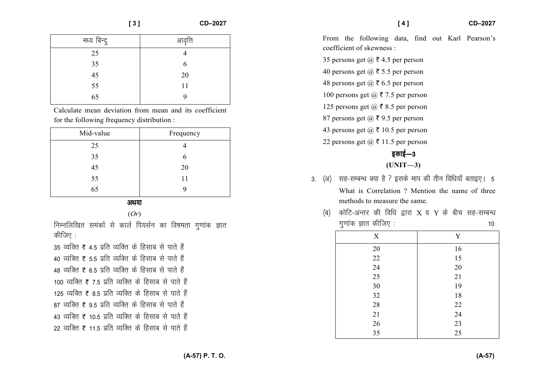|                                            | [3]<br>CD-2027                                         | CD-2027<br>[4]                                                                             |
|--------------------------------------------|--------------------------------------------------------|--------------------------------------------------------------------------------------------|
| मध्य बिन्दू                                | आवृत्ति                                                | From the following data, find out Karl Pearson's                                           |
| 25                                         | 4                                                      | coefficient of skewness :                                                                  |
| 35                                         | 6                                                      | 35 persons get $\omega \bar{\tau}$ 4.5 per person<br>40 persons get $(a)$ ₹ 5.5 per person |
| 45<br>55                                   | 20<br>11                                               | 48 persons get $@ \bar{z} 6.5$ per person                                                  |
| 65                                         | 9                                                      | 100 persons get $@ \bar{\mathbf{z}}$ 7.5 per person                                        |
|                                            | Calculate mean deviation from mean and its coefficient | 125 persons get $\omega$ ₹ 8.5 per person                                                  |
| for the following frequency distribution : |                                                        | 87 persons get $\omega$ ₹ 9.5 per person                                                   |
| Mid volue                                  | Frequency                                              | 43 persons get $(a) \bar{\tau}$ 10.5 per person                                            |

| Mid-value | Frequency |
|-----------|-----------|
| 25        |           |
| 35        | 6         |
| 45        | 20        |
| 55        | 11        |
| 65        | y         |
|           |           |

अथवा

(*Or*)

*fuEufyf[kr leadkas ls dkyZ fi;lZu dk fo"kerk xq.kkad Kkr* **कीजिए** :

35 व्यक्ति ₹ 4.5 प्रति व्यक्ति के हिसाब से पाते हैं **40 व्यक्ति ₹ 5.5 प्रति व्यक्ति के हिसाब से पाते हैं** *48 O;fDr* ` *6-5 izfr O;fDr ds fglkc ls ikrs gSa* 100 व्यक्ति ₹ 7.5 प्रति व्यक्ति के हिसाब से पाते हैं 125 व्यक्ति ₹ 8.5 प्रति व्यक्ति के हिसाब से पाते हैं *87 व्यक्ति ₹ 9.*5 प्रति व्यक्ति के हिसाब से पाते हैं 43 व्यक्ति ₹ 10.5 प्रति व्यक्ति के हिसाब से पाते हैं *22 व्यक्ति ₹ 11.*5 प्रति व्यक्ति के हिसाब से पाते हैं 3. (अ) सह-सम्बन्ध क्या है ? इसके माप की तीन विधियाँ बताइए। 5 What is Correlation ? Mention the name of three methods to measure the same.

*bdkbZ*&*<sup>3</sup>***(UNIT—3)** 

22 persons get  $(a) \bar{z}$  11.5 per person

*(ब)* कोटि-अन्तर की विधि द्वारा X व Y के बीच सह-सम्बन्ध *xq.kkad Kkr dhft, % 10* 

| X      | Y  |
|--------|----|
| 20     | 16 |
| 22     | 15 |
| 24     | 20 |
| 25     | 21 |
| 30     | 19 |
| 32     | 18 |
| 28     | 22 |
| $21\,$ | 24 |
| $26\,$ | 23 |
| 35     | 25 |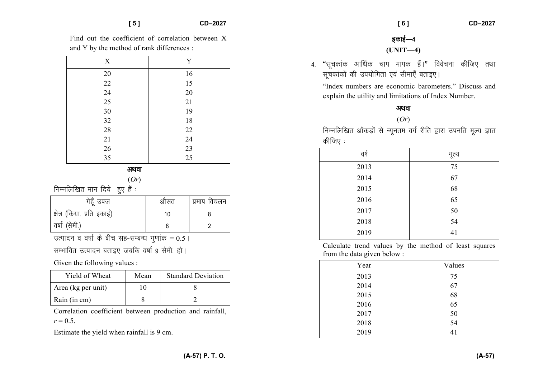Find out the coefficient of correlation between X and Y by the method of rank differences :

| X      | Y      |
|--------|--------|
| 20     | 16     |
| 22     | 15     |
| 24     | 20     |
| 25     | $21\,$ |
| 30     | 19     |
| 32     | 18     |
| 28     | $22\,$ |
| $21\,$ | 24     |
| $26\,$ | 23     |
| 35     | 25     |

*vFkok*

(*Or*)

**निम्नलिखित मान दिये हुए हैं** :

| गेहूँ उपज                    | औसत | प्रमाप विचलन |
|------------------------------|-----|--------------|
| क्षेत्र (किग्रा. प्रति इकाई) | 10  |              |
| वर्षा (सेमी.)                |     |              |

*n* उत्पादन व वर्षा के बीच सह-सम्बन्ध गुणांक = 0.5 |

*lEHkkfor mRiknu crkb, tcfd o"kkZ 9 lseh- gksA* 

Given the following values :

| Yield of Wheat     | Mean | <b>Standard Deviation</b> |
|--------------------|------|---------------------------|
| Area (kg per unit) | 10   |                           |
| Rain (in cm)       |      |                           |

Correlation coefficient between production and rainfall,  $r = 0.5$ .

Estimate the yield when rainfall is 9 cm.

*bdkbZ*&*<sup>4</sup>***(UNIT—4)** 

4. "सचकांक आर्थिक चाप मापक हैं।" विवेचना कीजिए तथा *lwpdkadksa dh mi;ksfxrk ,oa lhek,¡ crkb,A* 

"Index numbers are economic barometers." Discuss and explain the utility and limitations of Index Number.

## अथवा

(*Or*)

*fuEufyf[kr vk¡dM+ksa ls U;wure oxZ jhfr }kjk miufr ewY; Kkr कीजिए* :

| वर्ष | मूल्य |
|------|-------|
| 2013 | 75    |
| 2014 | 67    |
| 2015 | 68    |
| 2016 | 65    |
| 2017 | 50    |
| 2018 | 54    |
| 2019 | 41    |
|      |       |

Calculate trend values by the method of least squares from the data given below :

| Year | Values |
|------|--------|
| 2013 | 75     |
| 2014 | 67     |
| 2015 | 68     |
| 2016 | 65     |
| 2017 | 50     |
| 2018 | 54     |
| 2019 | 41     |